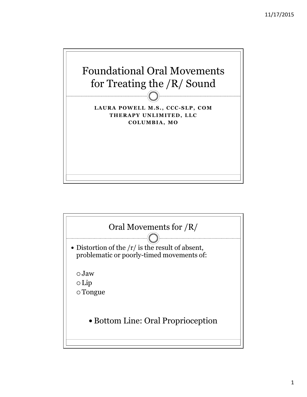

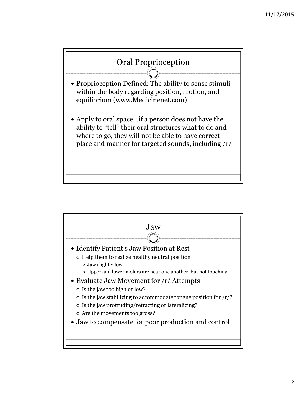

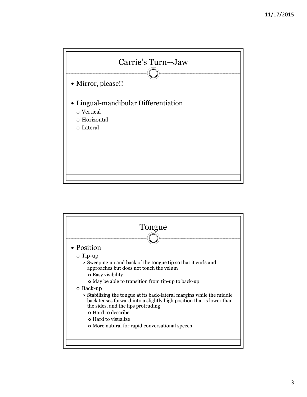

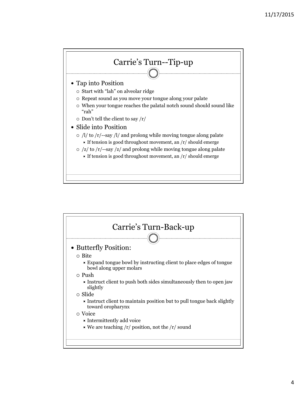

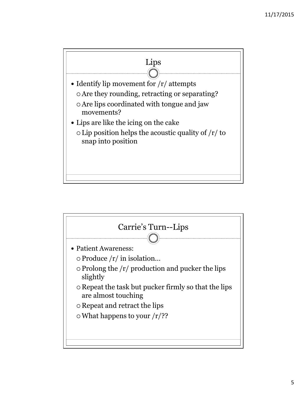